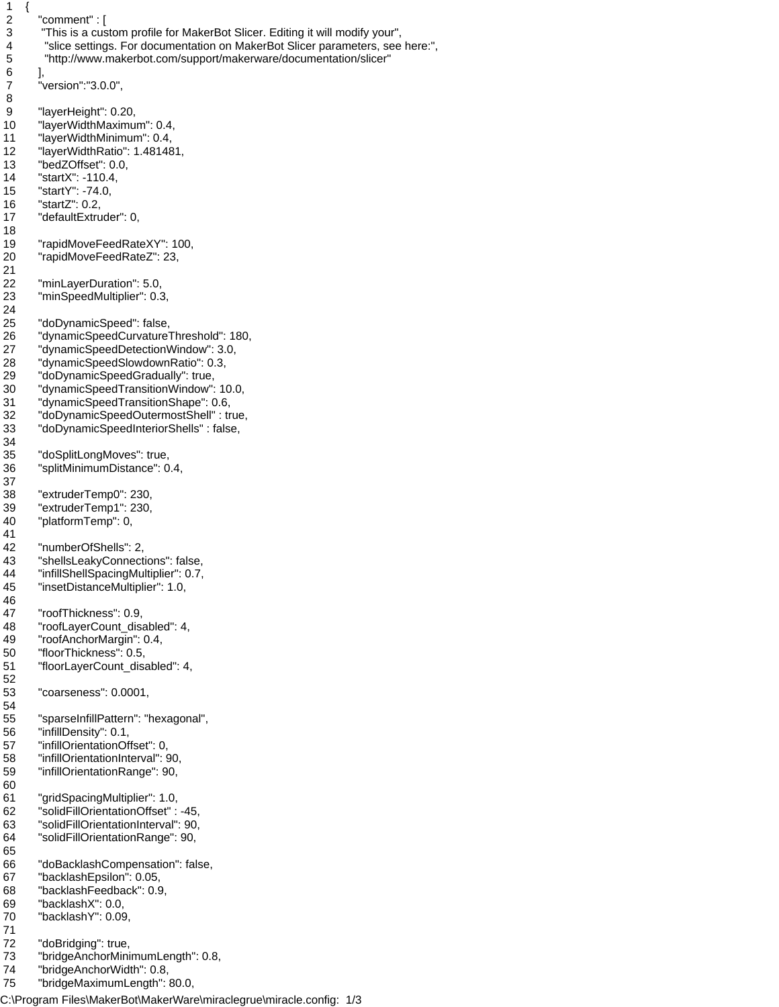```
\begin{array}{c} 1 \\ 2 \end{array}"comment" : [
 3 "This is a custom profile for MakerBot Slicer. Editing it will modify your",
 4 "slice settings. For documentation on MakerBot Slicer parameters, see here:",
 5 "http://www.makerbot.com/support/makerware/documentation/slicer"
 6 ],
 7 "version":"3.0.0",
 8 
 9 "layerHeight": 0.20,
 10 "layerWidthMaximum": 0.4,
 11 "layerWidthMinimum": 0.4,
 12 "layerWidthRatio": 1.481481,
 13 "bedZOffset": 0.0,
 14 "startX": -110.4,
 15 "startY": -74.0,
 16 "startZ": 0.2,
 17 "defaultExtruder": 0,
 18 
 19 "rapidMoveFeedRateXY": 100,
 20 "rapidMoveFeedRateZ": 23,
 21 
 22 "minLayerDuration": 5.0,
 23 "minSpeedMultiplier": 0.3,
 24 
 25 "doDynamicSpeed": false,
 26 "dynamicSpeedCurvatureThreshold": 180,
 27 "dynamicSpeedDetectionWindow": 3.0,
 28 "dynamicSpeedSlowdownRatio": 0.3,
 29 "doDynamicSpeedGradually": true,
 30 "dynamicSpeedTransitionWindow": 10.0,
 31 "dynamicSpeedTransitionShape": 0.6,
 32 "doDynamicSpeedOutermostShell" : true,
 33 "doDynamicSpeedInteriorShells" : false,
 34 
 35 "doSplitLongMoves": true,
 36 "splitMinimumDistance": 0.4,
 37 
 38 "extruderTemp0": 230,
 39 "extruderTemp1": 230,
 40 "platformTemp": 0,
 41 
 42 "numberOfShells": 2,
 43 "shellsLeakyConnections": false,
 44 "infillShellSpacingMultiplier": 0.7,
 45 "insetDistanceMultiplier": 1.0,
 46 
 47 "roofThickness": 0.9,
 48 "roofLayerCount_disabled": 4,
 49 "roofAnchorMargin": 0.4,
 50 "floorThickness": 0.5,
 51 "floorLayerCount_disabled": 4,
 52 
 53 "coarseness": 0.0001,
 54 
 55 "sparseInfillPattern": "hexagonal",
 56 "infillDensity": 0.1,
 57 "infillOrientationOffset": 0,
 58 "infillOrientationInterval": 90,
 59 "infillOrientationRange": 90,
 60 
 61 "gridSpacingMultiplier": 1.0,
 62 "solidFillOrientationOffset" : -45,
 63 "solidFillOrientationInterval": 90,
 64 "solidFillOrientationRange": 90,
 65 
 66 "doBacklashCompensation": false,
 67 "backlashEpsilon": 0.05,
 68 "backlashFeedback": 0.9,
 69 "backlashX": 0.0,
 70 "backlashY": 0.09,
 71 
 72 "doBridging": true,
 73 "bridgeAnchorMinimumLength": 0.8,
 74 "bridgeAnchorWidth": 0.8,
 75 "bridgeMaximumLength": 80.0,
C:\Program Files\MakerBot\MakerWare\miraclegrue\miracle.config: 1/3
```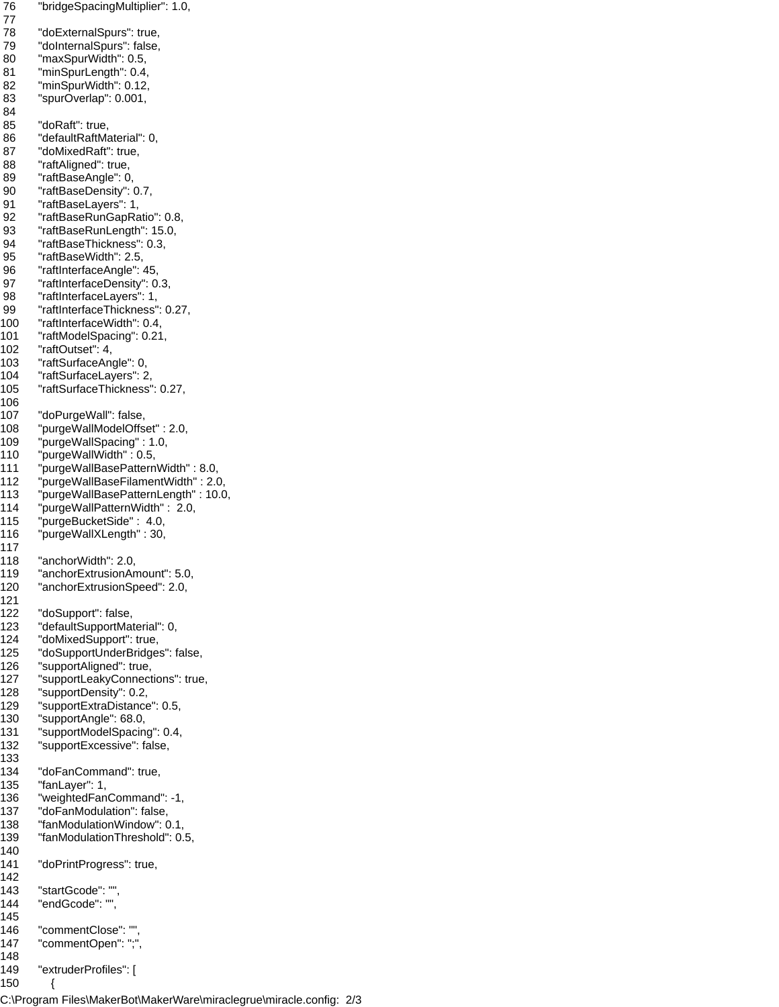```
 76 "bridgeSpacingMultiplier": 1.0,
 77 
 78 "doExternalSpurs": true,
 79 "doInternalSpurs": false,
 80 "maxSpurWidth": 0.5,
 81 "minSpurLength": 0.4,
 82 "minSpurWidth": 0.12,
 83 "spurOverlap": 0.001,
 84 
 85 "doRaft": true,
 86 "defaultRaftMaterial": 0,
 87 "doMixedRaft": true,
 88 "raftAligned": true,
 89 "raftBaseAngle": 0,
 90 "raftBaseDensity": 0.7,
 91 "raftBaseLayers": 1,
 92 "raftBaseRunGapRatio": 0.8,
 93 "raftBaseRunLength": 15.0,
 94 "raftBaseThickness": 0.3,
 95 "raftBaseWidth": 2.5,
 96 "raftInterfaceAngle": 45,
 97 "raftInterfaceDensity": 0.3,
 98 "raftInterfaceLayers": 1,
 99 "raftInterfaceThickness": 0.27,
100 "raftInterfaceWidth": 0.4,
101 "raftModelSpacing": 0.21,
102 "raftOutset": 4,
103 "raftSurfaceAngle": 0,
104 "raftSurfaceLayers": 2,
105 "raftSurfaceThickness": 0.27,
106 
107 "doPurgeWall": false,
108 "purgeWallModelOffset" : 2.0,
109 "purgeWallSpacing" : 1.0,
110 "purgeWallWidth" : 0.5,
111 "purgeWallBasePatternWidth" : 8.0,
112 "purgeWallBaseFilamentWidth" : 2.0,
113 "purgeWallBasePatternLength" : 10.0,
114 "purgeWallPatternWidth" : 2.0, 
115 "purgeBucketSide" : 4.0, 
116 "purgeWallXLength" : 30,
117 
118 "anchorWidth": 2.0,
119 "anchorExtrusionAmount": 5.0,
120 "anchorExtrusionSpeed": 2.0,
121 
122 "doSupport": false,
123 "defaultSupportMaterial": 0,
124 "doMixedSupport": true,
125 "doSupportUnderBridges": false,
126 "supportAligned": true,
127 "supportLeakyConnections": true,
128 "supportDensity": 0.2,
129 "supportExtraDistance": 0.5,
130 "supportAngle": 68.0,
131 "supportModelSpacing": 0.4,
132 "supportExcessive": false,
133 
134 "doFanCommand": true,
135 "fanLayer": 1,
136 "weightedFanCommand": -1,
137 "doFanModulation": false,
138 "fanModulationWindow": 0.1,
139 "fanModulationThreshold": 0.5,
140 
141 "doPrintProgress": true,
142 
143 "startGcode": "",
144 "endGcode": "",
145 
146 "commentClose": "",
147 "commentOpen": ";",
148 
149 "extruderProfiles": [
150 {
```
C:\Program Files\MakerBot\MakerWare\miraclegrue\miracle.config: 2/3